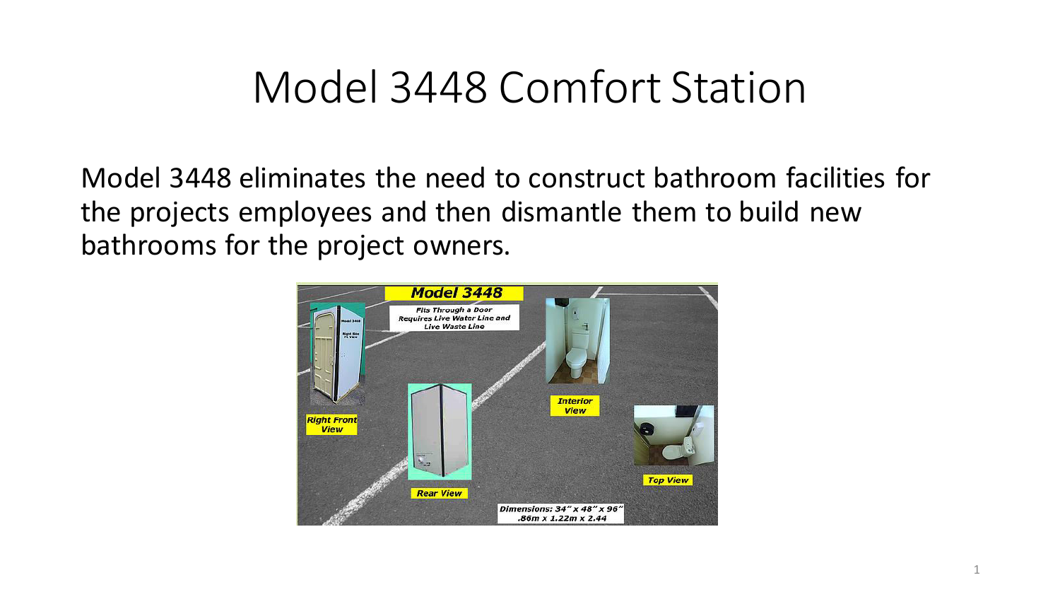## Model 3448 Comfort Station

Model 3448 eliminates the need to construct bathroom facilities for the projects employees and then dismantle them to build new bathrooms for the project owners.

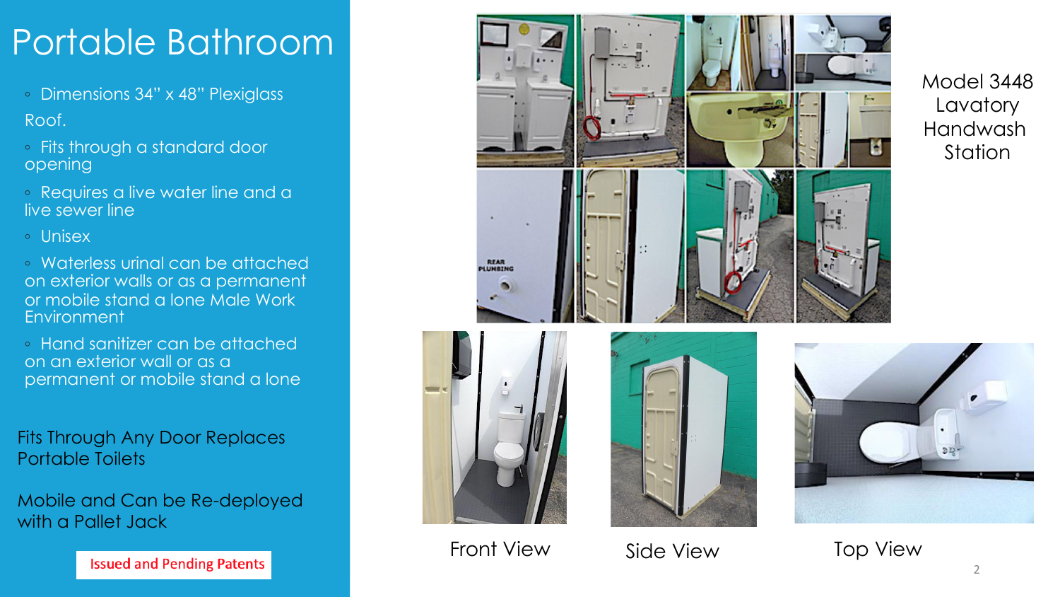## Portable Bathroom

◦ Dimensions 34" x 48" Plexiglass

Roof.

- Fits through a standard door opening
- Requires a live water line and a live sewer line

◦ Unisex

◦ Waterless urinal can be attached on exterior walls or as a permanent or mobile stand a lone Male Work **Environment** 

◦ Hand sanitizer can be attached on an exterior wall or as a permanent or mobile stand a lone

Fits Through Any Door Replaces Portable Toilets

Mobile and Can be Re-deployed with a Pallet Jack



Front View Side View Top View

Model 3448 **Lavatory** Handwash **Station** 

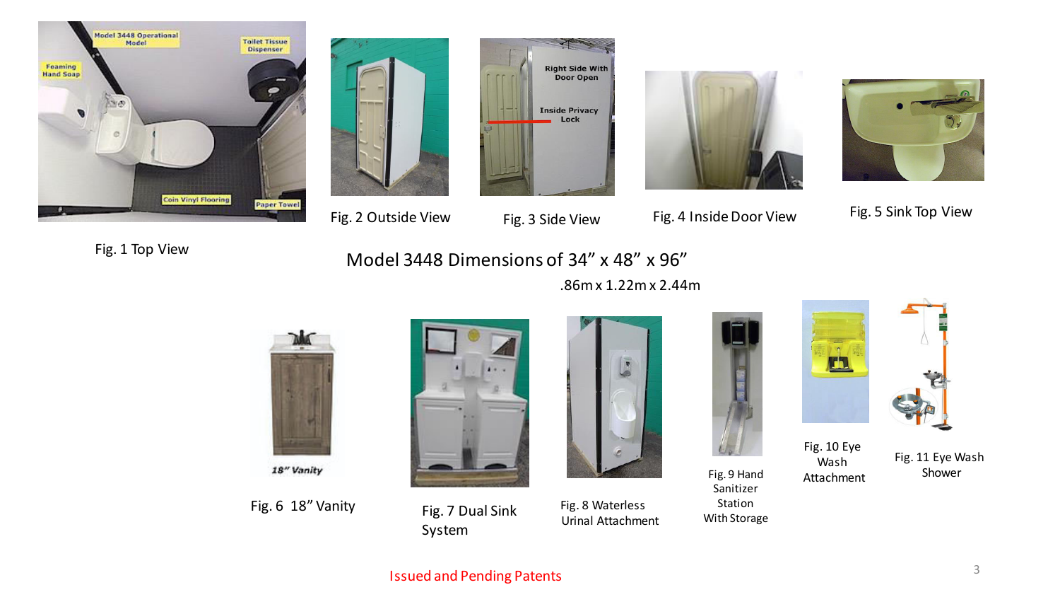











Fig. 1 Top View



.86m x 1.22m x 2.44m



18" Vanity

Fig. 6 18" Vanity





Fig. 7 Dual Sink Fig. 8 Waterless Urinal Attachment

Fig. 9 Hand Sanitizer Station With Storage



Fig. 10 Eye Wash Attachment

Fig. 11 Eye Wash Shower

## Fig. 2 Outside View Fig. 3 Side View Fig. 4 Inside Door View Fig. 5 Sink Top View

**Issued and Pending Patents** 3 3

System